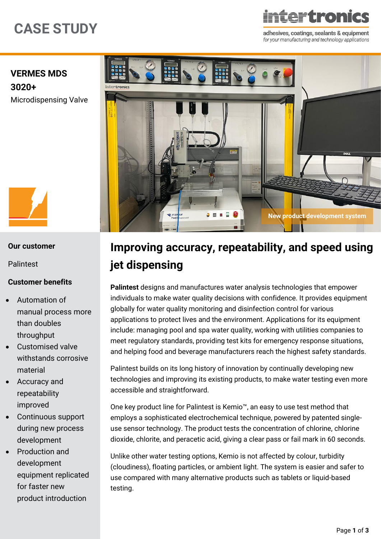# **CASE STUDY**

# **FTRAN**

adhesives, coatings, sealants & equipment for your manufacturing and technology applications

## **[VERMES MDS](https://www.intertronics.co.uk/product/mds3010-mds3020-precision-microdispensing-jetting-valve/)  [3020+](https://www.intertronics.co.uk/product/mds3010-mds3020-precision-microdispensing-jetting-valve/)** [Microdispensing Valve](https://www.intertronics.co.uk/product/mds3010-mds3020-precision-microdispensing-jetting-valve/)



#### **Our customer**

[Palintest](https://www.palintest.com/)

#### **Customer benefits**

- Automation of manual process more than doubles throughput
- Customised valve withstands corrosive material
- Accuracy and repeatability improved
- Continuous support during new process development
- Production and development equipment replicated for faster new product introduction

# **Improving accuracy, repeatability, and speed using jet dispensing**

**[Palintest](https://www.palintest.com/)** designs and manufactures water analysis technologies that empower individuals to make water quality decisions with confidence. It provides equipment globally for water quality monitoring and disinfection control for various applications to protect lives and the environment. Applications for its equipment include: managing pool and spa water quality, working with utilities companies to meet regulatory standards, providing test kits for emergency response situations, and helping food and beverage manufacturers reach the highest safety standards.

Palintest builds on its long history of innovation by continually developing new technologies and improving its existing products, to make water testing even more accessible and straightforward.

One key product line for Palintest is Kemio™, an easy to use test method that employs a sophisticated electrochemical technique, powered by patented singleuse sensor technology. The product tests the concentration of chlorine, chlorine dioxide, chlorite, and peracetic acid, giving a clear pass or fail mark in 60 seconds.

Unlike other water testing options, Kemio is not affected by colour, turbidity (cloudiness), floating particles, or ambient light. The system is easier and safer to use compared with many alternative products such as tablets or liquid-based testing.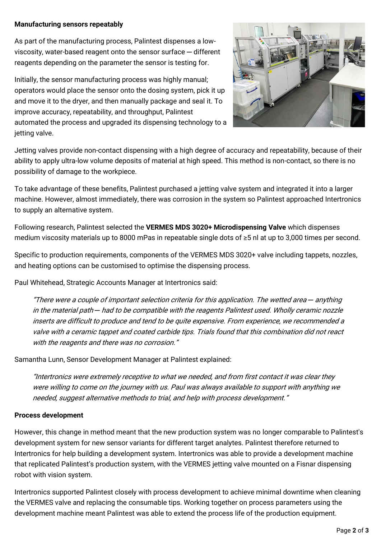#### **Manufacturing sensors repeatably**

As part of the manufacturing process, Palintest dispenses a lowviscosity, water-based reagent onto the sensor surface — different reagents depending on the parameter the sensor is testing for.

Initially, the sensor manufacturing process was highly manual; operators would place the sensor onto the dosing system, pick it up and move it to the dryer, and then manually package and seal it. To improve accuracy, repeatability, and throughput, Palintest automated the process and upgraded its dispensing technology to a jetting valve.



Jetting valves provide non-contact dispensing with a high degree of accuracy and repeatability, because of their ability to apply ultra-low volume deposits of material at high speed. This method is non-contact, so there is no possibility of damage to the workpiece.

To take advantage of these benefits, Palintest purchased a jetting valve system and integrated it into a larger machine. However, almost immediately, there was corrosion in the system so Palintest approached Intertronics to supply an alternative system.

Following research, Palintest selected the **[VERMES MDS 3020+ Microdispensing Valve](https://www.intertronics.co.uk/product/mds3010-mds3020-precision-microdispensing-jetting-valve/)** which dispenses medium viscosity materials up to 8000 mPas in repeatable single dots of ≥5 nl at up to 3,000 times per second.

Specific to production requirements, components of the VERMES MDS 3020+ valve including tappets, nozzles, and heating options can be customised to optimise the dispensing process.

Paul Whitehead, Strategic Accounts Manager at Intertronics said:

"There were a couple of important selection criteria for this application. The wetted area *─* anything in the material path *─* had to be compatible with the reagents Palintest used. Wholly ceramic nozzle inserts are difficult to produce and tend to be quite expensive. From experience, we recommended a valve with a ceramic tappet and coated carbide tips. Trials found that this combination did not react with the reagents and there was no corrosion."

Samantha Lunn, Sensor Development Manager at Palintest explained:

"Intertronics were extremely receptive to what we needed, and from first contact it was clear they were willing to come on the journey with us. Paul was always available to support with anything we needed, suggest alternative methods to trial, and help with process development."

#### **Process development**

However, this change in method meant that the new production system was no longer comparable to Palintest's development system for new sensor variants for different target analytes. Palintest therefore returned to Intertronics for help building a development system. Intertronics was able to provide a development machine that replicated Palintest's production system, with the VERMES jetting valve mounted on a Fisnar dispensing robot with vision system.

Intertronics supported Palintest closely with process development to achieve minimal downtime when cleaning the VERMES valve and replacing the consumable tips. Working together on process parameters using the development machine meant Palintest was able to extend the process life of the production equipment.